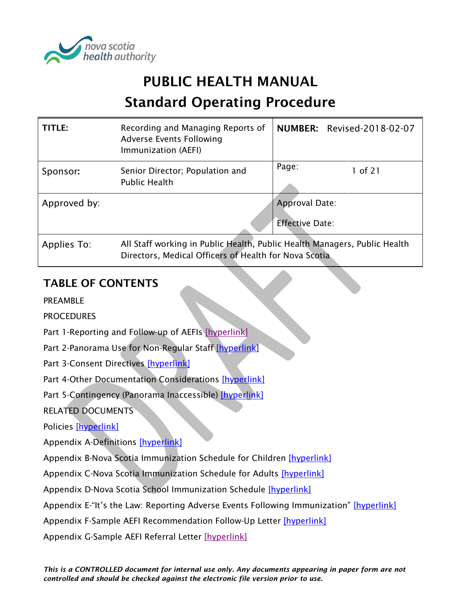

# PUBLIC HEALTH MANUAL

# Standard Operating Procedure

| TITLE:       | Recording and Managing Reports of<br>Adverse Events Following<br>Immunization (AEFI)                                               | <b>NUMBER: Revised-2018-02-07</b> |
|--------------|------------------------------------------------------------------------------------------------------------------------------------|-----------------------------------|
| Sponsor:     | Senior Director; Population and<br><b>Public Health</b>                                                                            | Page:<br>1 of 21                  |
| Approved by: |                                                                                                                                    | Approval Date:                    |
|              |                                                                                                                                    | <b>Effective Date:</b>            |
| Applies To:  | All Staff working in Public Health, Public Health Managers, Public Health<br>Directors, Medical Officers of Health for Nova Scotia |                                   |

# TABLE OF CONTENTS

PREAMBLE

**PROCEDURES** 

Part 1-Reporting and Follow-up of AEFIs [\[hyperlink\]](#page-1-0)

Part 2-Panorama Use for Non-Regular Staff [\[hyperlink\]](#page-5-0)

Part 3-Consent Directives [\[hyperlink\]](#page-6-0)

Part 4-Other Documentation Considerations [\[hyperlink\]](#page-6-1)

Part 5-Contingency (Panorama Inaccessible) [\[hyperlink\]](#page-8-0)

RELATED DOCUMENTS

Policies [\[hyperlink\]](#page-11-0)

Appendix A-Definitions [\[hyperlink\]](#page-12-0)

Appendix B-Nova Scotia Immunization Schedule for Children [\[hyperlink\]](#page-14-0)

Appendix C-Nova Scotia Immunization Schedule for Adults [\[hyperlink\]](#page-15-0)

Appendix D-Nova Scotia School Immunization Schedule [\[hyperlink\]](#page-16-0)

Appendix E-"It's the Law: Reporting Adverse Events Following Immunization" [\[hyperlink\]](#page-17-0)

Appendix F-Sample AEFI Recommendation Follow-Up Letter [\[hyperlink\]](#page-18-0)

Appendix G-Sample AEFI Referral Letter [\[hyperlink\]](#page-19-0)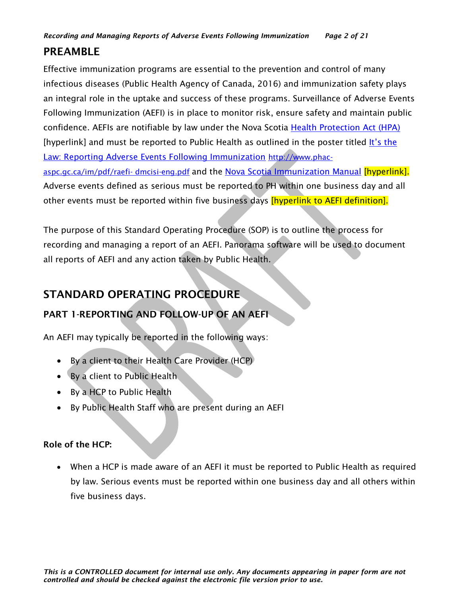# PREAMBLE

Effective immunization programs are essential to the prevention and control of many infectious diseases (Public Health Agency of Canada, 2016) and immunization safety plays an integral role in the uptake and success of these programs. Surveillance of Adverse Events Following Immunization (AEFI) is in place to monitor risk, ensure safety and maintain public confidence. AEFIs are notifiable by law under the Nova Scotia Health Protection Act (HPA) [hyperlink] and must be reported to Public Health as outlined in the poster titled It's the Law: Reporting Adverse Events Following Immunization [http://www.phac](http://www.phac-aspc.gc.ca/im/pdf/raefi-%20dmcisi-eng.pdf)[aspc.gc.ca/im/pdf/raefi-](http://www.phac-aspc.gc.ca/im/pdf/raefi-%20dmcisi-eng.pdf) dmcisi-eng.pdf and the Nova Scotia Immunization Manual [hyperlink]. Adverse events defined as serious must be reported to PH within one business day and all other events must be reported within five business days *[hyperlink to AEFI definition]*.

The purpose of this Standard Operating Procedure (SOP) is to outline the process for recording and managing a report of an AEFI. Panorama software will be used to document all reports of AEFI and any action taken by Public Health.

# STANDARD OPERATING PROCEDURE

# <span id="page-1-0"></span>PART 1-REPORTING AND FOLLOW-UP OF AN AEFI

An AEFI may typically be reported in the following ways:

- By a client to their Health Care Provider (HCP)
- By a client to Public Health
- By a HCP to Public Health
- By Public Health Staff who are present during an AEFI

# Role of the HCP:

• When a HCP is made aware of an AEFI it must be reported to Public Health as required by law. Serious events must be reported within one business day and all others within five business days.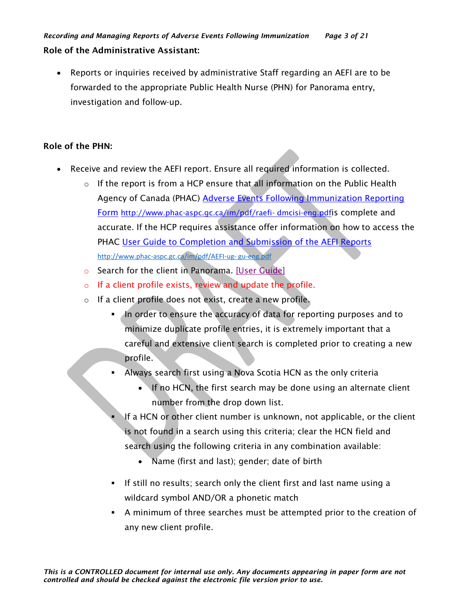• Reports or inquiries received by administrative Staff regarding an AEFI are to be forwarded to the appropriate Public Health Nurse (PHN) for Panorama entry, investigation and follow-up.

# Role of the PHN:

- Receive and review the AEFI report. Ensure all required information is collected.
	- $\circ$  If the report is from a HCP ensure that all information on the Public Health Agency of Canada (PHAC) Adverse Events Following Immunization Reporting Form [http://www.phac-aspc.gc.ca/im/pdf/raefi-](http://www.phac-aspc.gc.ca/im/pdf/raefi-%20dmcisi-eng.pdf) dmcisi-eng.pdfis complete and accurate. If the HCP requires assistance offer information on how to access the PHAC User Guide to Completion and Submission of the AEFI Reports [http://www.phac-aspc.gc.ca/im/pdf/AEFI-ug-](http://www.phac-aspc.gc.ca/im/pdf/AEFI-ug-%20gu-eng.pdf) gu-eng.pdf
	- o Search for the client in Panorama. [\[User Guide\]](https://support.novascotia.ca/sites/default/files/docs/immunization-user-guides/PNS%20User%20Guide%20CLT%20101%20-%20Basic%20Client%20Records%20Management.pdf)
	- o If a client profile exists, review and update the profile.
	- o If a client profile does not exist, create a new profile.
		- In order to ensure the accuracy of data for reporting purposes and to minimize duplicate profile entries, it is extremely important that a careful and extensive client search is completed prior to creating a new profile.
		- **EXED Always search first using a Nova Scotia HCN as the only criteria** 
			- If no HCN, the first search may be done using an alternate client number from the drop down list.
		- If a HCN or other client number is unknown, not applicable, or the client is not found in a search using this criteria; clear the HCN field and search using the following criteria in any combination available:
			- Name (first and last); gender; date of birth
		- If still no results; search only the client first and last name using a wildcard symbol AND/OR a phonetic match
		- A minimum of three searches must be attempted prior to the creation of any new client profile.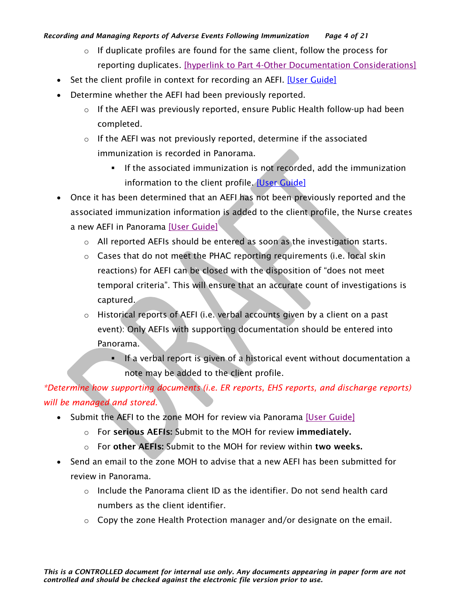### *Recording and Managing Reports of Adverse Events Following Immunization Page 4 of 21*

- $\circ$  If duplicate profiles are found for the same client, follow the process for reporting duplicates. [\[hyperlink to Part 4-Other Documentation Considerations\]](#page-6-1)
- Set the client profile in context for recording an AEFI. [\[User Guide\]](https://support.novascotia.ca/sites/default/files/docs/immunization-user-guides/PNS%20User%20Guide%20IMM%20101%20-%20Single%20Immunization.pdf)
- Determine whether the AEFI had been previously reported.
	- o If the AEFI was previously reported, ensure Public Health follow-up had been completed.
	- $\circ$  If the AEFI was not previously reported, determine if the associated immunization is recorded in Panorama.
		- **•** If the associated immunization is not recorded, add the immunization information to the client profile. [\[User Guide\]](https://support.novascotia.ca/sites/default/files/docs/immunization-user-guides/PNS%20User%20Guide%20IMM%20101%20-%20Single%20Immunization.pdf)
- Once it has been determined that an AEFI has not been previously reported and the associated immunization information is added to the client profile, the Nurse creates a new AEFI in Panorama [\[User Guide\]](https://support.novascotia.ca/sites/default/files/docs/immunization-user-guides/PNS%20User%20Guide%20IMM%20101%20-%20Single%20Immunization.pdf)
	- $\circ$  All reported AEFIs should be entered as soon as the investigation starts.
	- o Cases that do not meet the PHAC reporting requirements (i.e. local skin reactions) for AEFI can be closed with the disposition of "does not meet temporal criteria". This will ensure that an accurate count of investigations is captured.
	- o Historical reports of AEFI (i.e. verbal accounts given by a client on a past event): Only AEFIs with supporting documentation should be entered into Panorama.
		- If a verbal report is given of a historical event without documentation a note may be added to the client profile.

# *\*Determine how supporting documents (i.e. ER reports, EHS reports, and discharge reports) will be managed and stored.*

- Submit the AEFI to the zone MOH for review via Panorama [\[User Guide\]](https://support.novascotia.ca/sites/default/files/docs/immunization-user-guides/PNS%20User%20Guide%20IMM%20101%20-%20Single%20Immunization.pdf)
	- o For serious AEFIs: Submit to the MOH for review immediately.
	- $\circ$  For other AEFIs: Submit to the MOH for review within two weeks.
- Send an email to the zone MOH to advise that a new AEFI has been submitted for review in Panorama.
	- $\circ$  Include the Panorama client ID as the identifier. Do not send health card numbers as the client identifier.
	- $\circ$  Copy the zone Health Protection manager and/or designate on the email.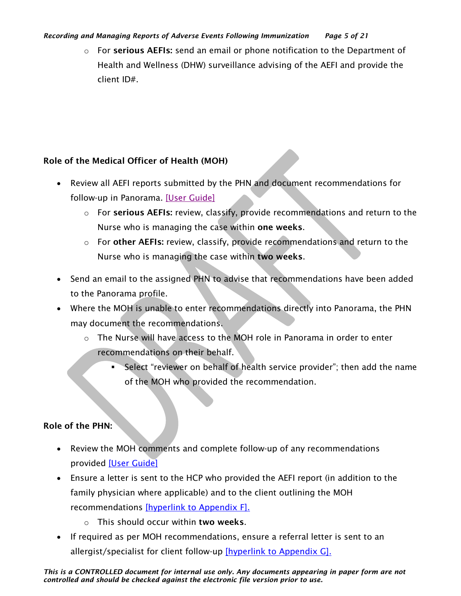#### *Recording and Managing Reports of Adverse Events Following Immunization Page 5 of 21*

 $\circ$  For serious AEFIs: send an email or phone notification to the Department of Health and Wellness (DHW) surveillance advising of the AEFI and provide the client ID#.

# Role of the Medical Officer of Health (MOH)

- Review all AEFI reports submitted by the PHN and document recommendations for follow-up in Panorama. [\[User Guide\]](https://support.novascotia.ca/sites/default/files/docs/immunization-user-guides/PNS%20User%20Guide%20IMM%20101%20-%20Single%20Immunization.pdf)
	- o For serious AEFIs: review, classify, provide recommendations and return to the Nurse who is managing the case within one weeks.
	- $\circ$  For other AEFIs: review, classify, provide recommendations and return to the Nurse who is managing the case within two weeks.
- Send an email to the assigned PHN to advise that recommendations have been added to the Panorama profile.
- Where the MOH is unable to enter recommendations directly into Panorama, the PHN may document the recommendations.
	- $\circ$  The Nurse will have access to the MOH role in Panorama in order to enter recommendations on their behalf.
		- **•** Select "reviewer on behalf of health service provider"; then add the name of the MOH who provided the recommendation.

# Role of the PHN:

- Review the MOH comments and complete follow-up of any recommendations provided [\[User Guide\]](https://support.novascotia.ca/sites/default/files/docs/immunization-user-guides/PNS%20User%20Guide%20IMM%20101%20-%20Single%20Immunization.pdf)
- Ensure a letter is sent to the HCP who provided the AEFI report (in addition to the family physician where applicable) and to the client outlining the MOH recommendations [\[hyperlink to Appendix F\].](#page-18-0)
	- o This should occur within two weeks.
- If required as per MOH recommendations, ensure a referral letter is sent to an allergist/specialist for client follow-up [\[hyperlink to Appendix G\].](#page-19-0)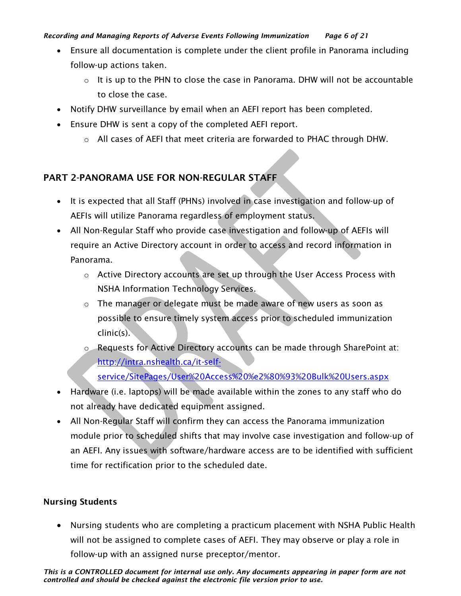### *Recording and Managing Reports of Adverse Events Following Immunization Page 6 of 21*

- Ensure all documentation is complete under the client profile in Panorama including follow-up actions taken.
	- $\circ$  It is up to the PHN to close the case in Panorama. DHW will not be accountable to close the case.
- Notify DHW surveillance by email when an AEFI report has been completed.
- Ensure DHW is sent a copy of the completed AEFI report.
	- $\circ$  All cases of AEFI that meet criteria are forwarded to PHAC through DHW.

# <span id="page-5-0"></span>PART 2-PANORAMA USE FOR NON-REGULAR STAFF

- It is expected that all Staff (PHNs) involved in case investigation and follow-up of AEFIs will utilize Panorama regardless of employment status.
- All Non-Regular Staff who provide case investigation and follow-up of AEFIs will require an Active Directory account in order to access and record information in Panorama.
	- $\circ$  Active Directory accounts are set up through the User Access Process with NSHA Information Technology Services.
	- $\circ$  The manager or delegate must be made aware of new users as soon as possible to ensure timely system access prior to scheduled immunization clinic(s).
	- o Requests for Active Directory accounts can be made through SharePoint at: [http://intra.nshealth.ca/it-self](http://intra.nshealth.ca/it-self-service/SitePages/User%20Access%20%e2%80%93%20Bulk%20Users.aspx)[service/SitePages/User%20Access%20%e2%80%93%20Bulk%20Users.aspx](http://intra.nshealth.ca/it-self-service/SitePages/User%20Access%20%e2%80%93%20Bulk%20Users.aspx)
- Hardware (i.e. laptops) will be made available within the zones to any staff who do not already have dedicated equipment assigned.
- All Non-Regular Staff will confirm they can access the Panorama immunization module prior to scheduled shifts that may involve case investigation and follow-up of an AEFI. Any issues with software/hardware access are to be identified with sufficient time for rectification prior to the scheduled date.

### Nursing Students

• Nursing students who are completing a practicum placement with NSHA Public Health will not be assigned to complete cases of AEFI. They may observe or play a role in follow-up with an assigned nurse preceptor/mentor.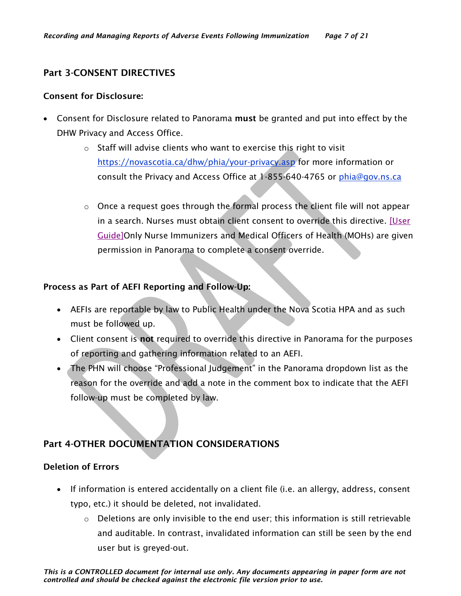## <span id="page-6-0"></span>Part 3-CONSENT DIRECTIVES

#### Consent for Disclosure:

- Consent for Disclosure related to Panorama must be granted and put into effect by the DHW Privacy and Access Office.
	- o Staff will advise clients who want to exercise this right to visit <https://novascotia.ca/dhw/phia/your-privacy.asp> for more information or consult the Privacy and Access Office at 1-855-640-4765 or [phia@gov.ns.ca](mailto:phia@gov.ns.ca)
	- o Once a request goes through the formal process the client file will not appear in a search. Nurses must obtain client consent to override this directive. [\[User](https://support.novascotia.ca/sites/default/files/docs/immunization-user-guides/PNS%20User%20Guide%20CLT%20102-%20Advanced%20Client%20Records%20Management.pdf)  [Guide\]O](https://support.novascotia.ca/sites/default/files/docs/immunization-user-guides/PNS%20User%20Guide%20CLT%20102-%20Advanced%20Client%20Records%20Management.pdf)nly Nurse Immunizers and Medical Officers of Health (MOHs) are given permission in Panorama to complete a consent override.

### Process as Part of AEFI Reporting and Follow-Up:

- AEFIs are reportable by law to Public Health under the Nova Scotia HPA and as such must be followed up.
- Client consent is not required to override this directive in Panorama for the purposes of reporting and gathering information related to an AEFI.
- The PHN will choose "Professional Judgement" in the Panorama dropdown list as the reason for the override and add a note in the comment box to indicate that the AEFI follow-up must be completed by law.

# <span id="page-6-1"></span>Part 4-OTHER DOCUMENTATION CONSIDERATIONS

### Deletion of Errors

- If information is entered accidentally on a client file (i.e. an allergy, address, consent typo, etc.) it should be deleted, not invalidated.
	- $\circ$  Deletions are only invisible to the end user; this information is still retrievable and auditable. In contrast, invalidated information can still be seen by the end user but is greyed-out.

*This is a CONTROLLED document for internal use only. Any documents appearing in paper form are not controlled and should be checked against the electronic file version prior to use.*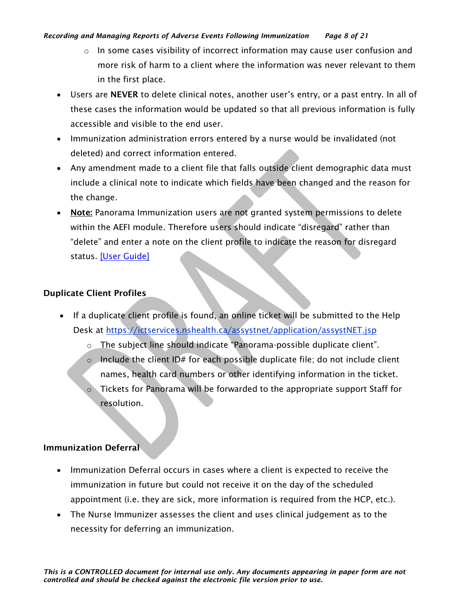#### *Recording and Managing Reports of Adverse Events Following Immunization Page 8 of 21*

- $\circ$  In some cases visibility of incorrect information may cause user confusion and more risk of harm to a client where the information was never relevant to them in the first place.
- Users are NEVER to delete clinical notes, another user's entry, or a past entry. In all of these cases the information would be updated so that all previous information is fully accessible and visible to the end user.
- Immunization administration errors entered by a nurse would be invalidated (not deleted) and correct information entered.
- Any amendment made to a client file that falls outside client demographic data must include a clinical note to indicate which fields have been changed and the reason for the change.
- Note: Panorama Immunization users are not granted system permissions to delete within the AEFI module. Therefore users should indicate "disregard" rather than "delete" and enter a note on the client profile to indicate the reason for disregard status. <u>[User Guide]</u>

### Duplicate Client Profiles

- If a duplicate client profile is found, an online ticket will be submitted to the Help Desk at<https://ictservices.nshealth.ca/assystnet/application/assystNET.jsp>
	- o The subject line should indicate "Panorama-possible duplicate client".
	- $\circ$  Include the client ID# for each possible duplicate file; do not include client names, health card numbers or other identifying information in the ticket.
	- Tickets for Panorama will be forwarded to the appropriate support Staff for resolution.

### Immunization Deferral

- Immunization Deferral occurs in cases where a client is expected to receive the immunization in future but could not receive it on the day of the scheduled appointment (i.e. they are sick, more information is required from the HCP, etc.).
- The Nurse Immunizer assesses the client and uses clinical judgement as to the necessity for deferring an immunization.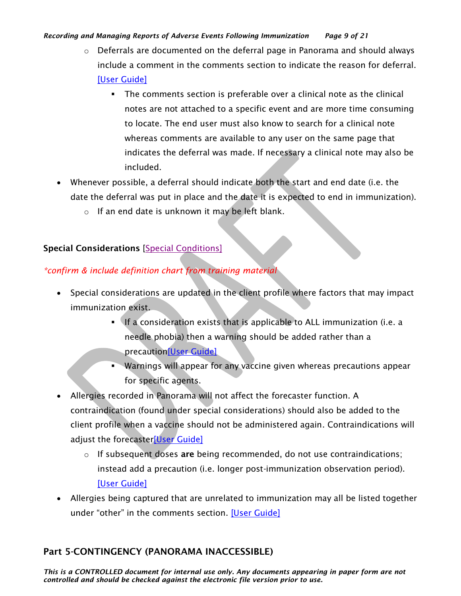#### *Recording and Managing Reports of Adverse Events Following Immunization Page 9 of 21*

- $\circ$  Deferrals are documented on the deferral page in Panorama and should always include a comment in the comments section to indicate the reason for deferral. [\[User Guide\]](https://support.novascotia.ca/sites/default/files/docs/immunization-user-guides/PNS%20User%20Guide%20IMM%20101%20-%20Single%20Immunization.pdf)
	- The comments section is preferable over a clinical note as the clinical notes are not attached to a specific event and are more time consuming to locate. The end user must also know to search for a clinical note whereas comments are available to any user on the same page that indicates the deferral was made. If necessary a clinical note may also be included.
- Whenever possible, a deferral should indicate both the start and end date (i.e. the date the deferral was put in place and the date it is expected to end in immunization).
	- o If an end date is unknown it may be left blank.

# Special Considerations [\[Special Conditions\]](https://support.novascotia.ca/sites/default/files/docs/immunization-user-guides/Panorama%20Tips%20%26%20Tricks_Special%20Considerations.pdf)

# *\*confirm & include definition chart from training material*

- Special considerations are updated in the client profile where factors that may impact immunization exist.
	- **.** If a consideration exists that is applicable to ALL immunization (i.e. a needle phobia) then a warning should be added rather than a precautio[n\[User Guide\]](https://support.novascotia.ca/sites/default/files/docs/immunization-user-guides/PNS%20User%20Guide%20CLT%20102-%20Advanced%20Client%20Records%20Management.pdf)
	- Warnings will appear for any vaccine given whereas precautions appear for specific agents.
- Allergies recorded in Panorama will not affect the forecaster function. A contraindication (found under special considerations) should also be added to the client profile when a vaccine should not be administered again. Contraindications will adjust the forecaste[r\[User Guide\]](https://support.novascotia.ca/sites/default/files/docs/immunization-user-guides/PNS%20User%20Guide%20IMM%20101%20-%20Single%20Immunization.pdf)
	- $\circ$  If subsequent doses are being recommended, do not use contraindications; instead add a precaution (i.e. longer post-immunization observation period). [\[User Guide\]](https://support.novascotia.ca/sites/default/files/docs/immunization-user-guides/PNS%20User%20Guide%20IMM%20101%20-%20Single%20Immunization.pdf)
- Allergies being captured that are unrelated to immunization may all be listed together under "other" in the comments section. [\[User Guide\]](https://support.novascotia.ca/sites/default/files/docs/immunization-user-guides/PNS%20User%20Guide%20CLT%20102-%20Advanced%20Client%20Records%20Management.pdf)

# <span id="page-8-0"></span>Part 5-CONTINGENCY (PANORAMA INACCESSIBLE)

*This is a CONTROLLED document for internal use only. Any documents appearing in paper form are not controlled and should be checked against the electronic file version prior to use.*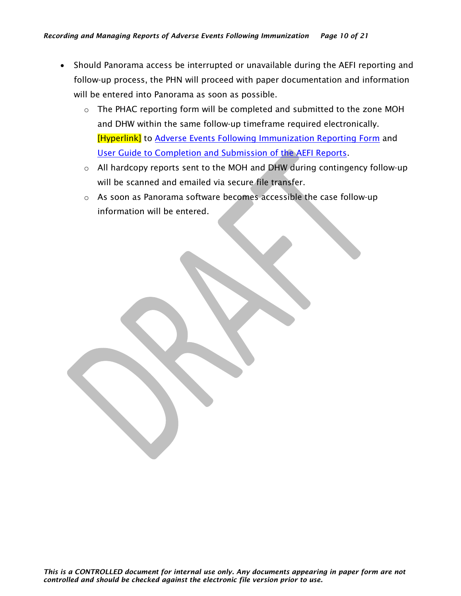- Should Panorama access be interrupted or unavailable during the AEFI reporting and follow-up process, the PHN will proceed with paper documentation and information will be entered into Panorama as soon as possible.
	- $\circ$  The PHAC reporting form will be completed and submitted to the zone MOH and DHW within the same follow-up timeframe required electronically. [Hyperlink] to Adverse Events Following Immunization Reporting Form and User Guide to Completion and Submission of the AEFI Reports.
	- o All hardcopy reports sent to the MOH and DHW during contingency follow-up will be scanned and emailed via secure file transfer.
	- $\circ$  As soon as Panorama software becomes accessible the case follow-up information will be entered.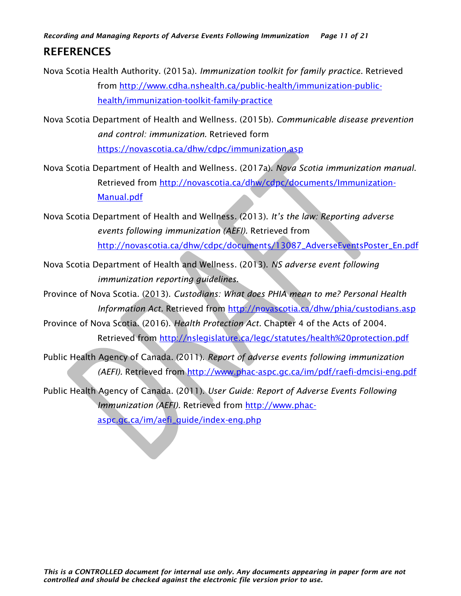*Recording and Managing Reports of Adverse Events Following Immunization Page 11 of 21*

# REFERENCES

Nova Scotia Health Authority. (2015a). *Immunization toolkit for family practice*. Retrieved from [http://www.cdha.nshealth.ca/public-health/immunization-public](http://www.cdha.nshealth.ca/public-health/immunization-public-health/immunization-toolkit-family-practice)[health/immunization-toolkit-family-practice](http://www.cdha.nshealth.ca/public-health/immunization-public-health/immunization-toolkit-family-practice)

Nova Scotia Department of Health and Wellness. (2015b). *Communicable disease prevention and control: immunization.* Retrieved form <https://novascotia.ca/dhw/cdpc/immunization.asp>

Nova Scotia Department of Health and Wellness. (2017a). *Nova Scotia immunization manual*. Retrieved from [http://novascotia.ca/dhw/cdpc/documents/Immunization-](http://novascotia.ca/dhw/cdpc/documents/Immunization-Manual.pdf)[Manual.pdf](http://novascotia.ca/dhw/cdpc/documents/Immunization-Manual.pdf)

Nova Scotia Department of Health and Wellness. (2013). *It's the law: Reporting adverse events following immunization (AEFI).* Retrieved from [http://novascotia.ca/dhw/cdpc/documents/13087\\_AdverseEventsPoster\\_En.pdf](http://novascotia.ca/dhw/cdpc/documents/13087_AdverseEventsPoster_En.pdf)

Nova Scotia Department of Health and Wellness. (2013). *NS adverse event following immunization reporting guidelines.*

Province of Nova Scotia. (2013). *Custodians: What does PHIA mean to me? Personal Health Information Act.* Retrieved from<http://novascotia.ca/dhw/phia/custodians.asp>

Province of Nova Scotia. (2016). *Health Protection Act.* Chapter 4 of the Acts of 2004. Retrieved from<http://nslegislature.ca/legc/statutes/health%20protection.pdf>

Public Health Agency of Canada. (2011). *Report of adverse events following immunization (AEFI).* Retrieved from<http://www.phac-aspc.gc.ca/im/pdf/raefi-dmcisi-eng.pdf>

Public Health Agency of Canada. (2011). *User Guide: Report of Adverse Events Following Immunization (AEFI).* Retrieved from [http://www.phac](http://www.phac-aspc.gc.ca/im/aefi_guide/index-eng.php)[aspc.gc.ca/im/aefi\\_guide/index-eng.php](http://www.phac-aspc.gc.ca/im/aefi_guide/index-eng.php)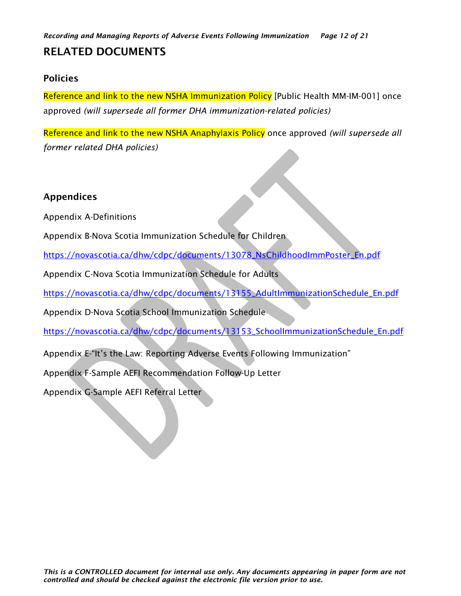# RELATED DOCUMENTS

# <span id="page-11-0"></span>Policies

Reference and link to the new NSHA Immunization Policy [Public Health MM-IM-001] once approved *(will supersede all former DHA immunization-related policies)*

Reference and link to the new NSHA Anaphylaxis Policy once approved *(will supersede all former related DHA policies)*

## Appendices

Appendix A-Definitions

Appendix B-Nova Scotia Immunization Schedule for Children

[https://novascotia.ca/dhw/cdpc/documents/13078\\_NsChildhoodImmPoster\\_En.pdf](https://novascotia.ca/dhw/cdpc/documents/13078_NsChildhoodImmPoster_En.pdf)

Appendix C-Nova Scotia Immunization Schedule for Adults

[https://novascotia.ca/dhw/cdpc/documents/13155\\_AdultImmunizationSchedule\\_En.pdf](https://novascotia.ca/dhw/cdpc/documents/13155_AdultImmunizationSchedule_En.pdf)

Appendix D-Nova Scotia School Immunization Schedule

[https://novascotia.ca/dhw/cdpc/documents/13153\\_SchoolImmunizationSchedule\\_En.pdf](https://novascotia.ca/dhw/cdpc/documents/13153_SchoolImmunizationSchedule_En.pdf)

Appendix E-"It's the Law: Reporting Adverse Events Following Immunization"

Appendix F-Sample AEFI Recommendation Follow-Up Letter

Appendix G-Sample AEFI Referral Letter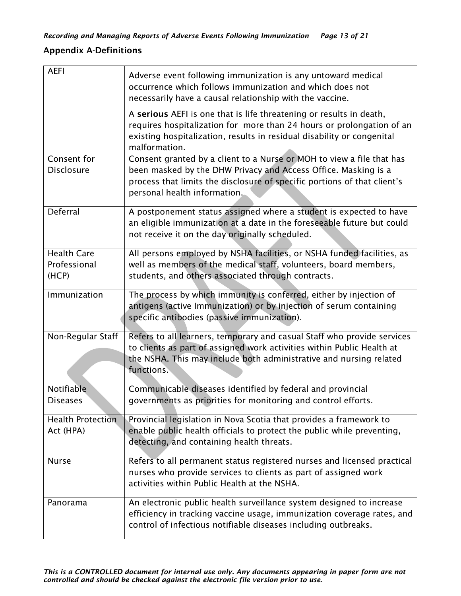# <span id="page-12-0"></span>Appendix A-Definitions

| <b>AEFI</b>                                 | Adverse event following immunization is any untoward medical<br>occurrence which follows immunization and which does not<br>necessarily have a causal relationship with the vaccine.                                                                |
|---------------------------------------------|-----------------------------------------------------------------------------------------------------------------------------------------------------------------------------------------------------------------------------------------------------|
|                                             | A serious AEFI is one that is life threatening or results in death,<br>requires hospitalization for more than 24 hours or prolongation of an<br>existing hospitalization, results in residual disability or congenital<br>malformation.             |
| Consent for<br><b>Disclosure</b>            | Consent granted by a client to a Nurse or MOH to view a file that has<br>been masked by the DHW Privacy and Access Office. Masking is a<br>process that limits the disclosure of specific portions of that client's<br>personal health information. |
| Deferral                                    | A postponement status assigned where a student is expected to have<br>an eligible immunization at a date in the foreseeable future but could<br>not receive it on the day originally scheduled.                                                     |
| <b>Health Care</b><br>Professional<br>(HCP) | All persons employed by NSHA facilities, or NSHA funded facilities, as<br>well as members of the medical staff, volunteers, board members,<br>students, and others associated through contracts.                                                    |
| Immunization                                | The process by which immunity is conferred, either by injection of<br>antigens (active Immunization) or by injection of serum containing<br>specific antibodies (passive immunization).                                                             |
| Non-Regular Staff                           | Refers to all learners, temporary and casual Staff who provide services<br>to clients as part of assigned work activities within Public Health at<br>the NSHA. This may include both administrative and nursing related<br>functions.               |
| Notifiable<br><b>Diseases</b>               | Communicable diseases identified by federal and provincial<br>governments as priorities for monitoring and control efforts.                                                                                                                         |
| <b>Health Protection</b><br>Act (HPA)       | Provincial legislation in Nova Scotia that provides a framework to<br>enable public health officials to protect the public while preventing,<br>detecting, and containing health threats.                                                           |
| <b>Nurse</b>                                | Refers to all permanent status registered nurses and licensed practical<br>nurses who provide services to clients as part of assigned work<br>activities within Public Health at the NSHA.                                                          |
| Panorama                                    | An electronic public health surveillance system designed to increase<br>efficiency in tracking vaccine usage, immunization coverage rates, and<br>control of infectious notifiable diseases including outbreaks.                                    |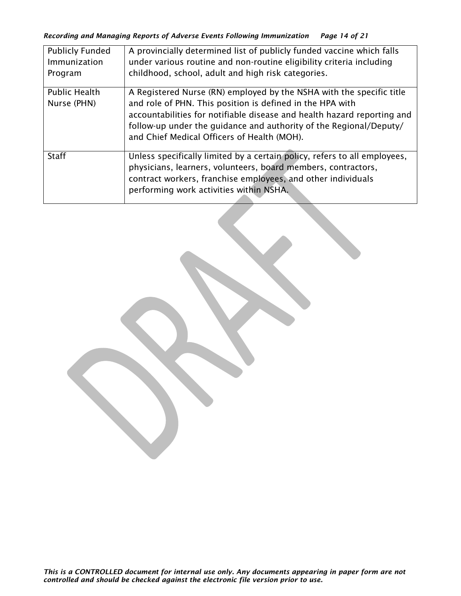| <b>Publicly Funded</b><br>Immunization<br>Program | A provincially determined list of publicly funded vaccine which falls<br>under various routine and non-routine eligibility criteria including<br>childhood, school, adult and high risk categories.                                                                                                                               |
|---------------------------------------------------|-----------------------------------------------------------------------------------------------------------------------------------------------------------------------------------------------------------------------------------------------------------------------------------------------------------------------------------|
| <b>Public Health</b><br>Nurse (PHN)               | A Registered Nurse (RN) employed by the NSHA with the specific title<br>and role of PHN. This position is defined in the HPA with<br>accountabilities for notifiable disease and health hazard reporting and<br>follow-up under the guidance and authority of the Regional/Deputy/<br>and Chief Medical Officers of Health (MOH). |
| <b>Staff</b>                                      | Unless specifically limited by a certain policy, refers to all employees,<br>physicians, learners, volunteers, board members, contractors,<br>contract workers, franchise employees, and other individuals<br>performing work activities within NSHA.                                                                             |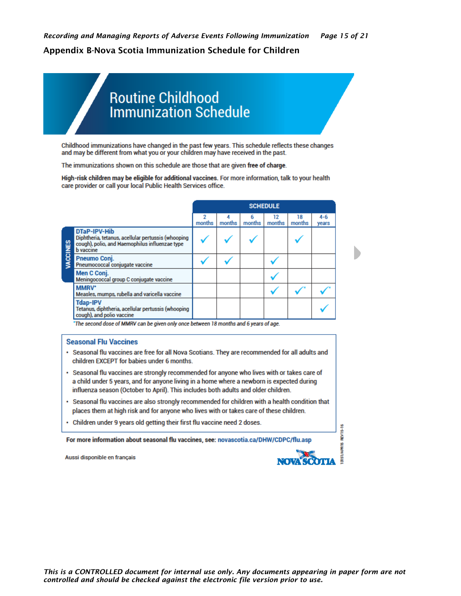### <span id="page-14-0"></span>Appendix B-Nova Scotia Immunization Schedule for Children

# **Routine Childhood** Immunization Schedule

Childhood immunizations have changed in the past few years. This schedule reflects these changes and may be different from what you or your children may have received in the past.

The immunizations shown on this schedule are those that are given free of charge.

High-risk children may be eligible for additional vaccines. For more information, talk to your health care provider or call your local Public Health Services office.

|        |                                                                                                                                          |             |        |             | <b>SCHEDULE</b> |              |                  |
|--------|------------------------------------------------------------------------------------------------------------------------------------------|-------------|--------|-------------|-----------------|--------------|------------------|
|        |                                                                                                                                          | 2<br>months | months | 6<br>months | 12<br>months    | 18<br>months | $4 - 6$<br>years |
| CCINES | DTaP-IPV-Hib<br>Diphtheria, tetanus, acellular pertussis (whooping<br>cough), polio, and Haemophilus influenzae type<br><b>b</b> vaccine |             |        |             |                 |              |                  |
|        | Pneumo Coni.<br>Pneumococcal conjugate vaccine                                                                                           |             |        |             |                 |              |                  |
|        | Men C Conj.<br>Meningococcal group C conjugate vaccine                                                                                   |             |        |             |                 |              |                  |
|        | MMRV*<br>Measles, mumps, rubella and varicella vaccine                                                                                   |             |        |             |                 |              |                  |
|        | <b>Tdap-IPV</b><br>Tetanus, diphtheria, acellular pertussis (whooping<br>cough), and polio vaccine                                       |             |        |             |                 |              |                  |

\*The second dose of MMRV can be given only once between 18 months and 6 years of age.

#### **Seasonal Flu Vaccines**

- · Seasonal flu vaccines are free for all Nova Scotians. They are recommended for all adults and children EXCEPT for babies under 6 months.
- · Seasonal flu vaccines are strongly recommended for anyone who lives with or takes care of a child under 5 years, and for anyone living in a home where a newborn is expected during influenza season (October to April). This includes both adults and older children.
- · Seasonal flu vaccines are also strongly recommended for children with a health condition that places them at high risk and for anyone who lives with or takes care of these children.
- Children under 9 years old getting their first flu vaccine need 2 doses.

For more information about seasonal flu vaccines, see: novascotia.ca/DHW/CDPC/flu.asp

Aussi disponible en français



**REV15-16**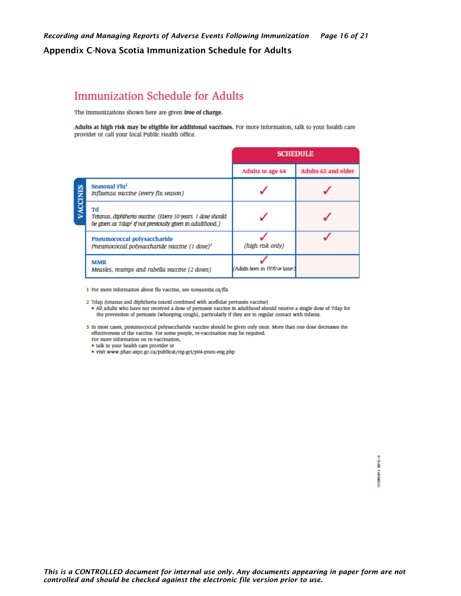#### <span id="page-15-0"></span>Appendix C-Nova Scotia Immunization Schedule for Adults

# **Immunization Schedule for Adults**

The immunizations shown here are given free of charge.

Adults at high risk may be eligible for additional vaccines. For more information, talk to your health care provider or call your local Public Health office.

|              |                                                                                                                                           | <b>SCHEDULE</b>                |                     |  |
|--------------|-------------------------------------------------------------------------------------------------------------------------------------------|--------------------------------|---------------------|--|
|              |                                                                                                                                           | Adults to age 64               | Adults 65 and older |  |
| <b>CINES</b> | Seasonal Flu <sup>1</sup><br>Influenza vaccine (every flu season)                                                                         |                                |                     |  |
|              | Td<br>Tetarus, diphtheria vaccine. (Every 10 years. 1 dose should<br>be given as Tdap <sup>2</sup> if not previously given in adulthood.) |                                |                     |  |
|              | Pneumococcal polysaccharide<br>Prieumococcal polysaccharide vaccine (1 dose) <sup>3</sup>                                                 | (htgh rtsk only)               |                     |  |
|              | <b>MMR</b><br>Measles, mumps and rubella vaccine (2 doses)                                                                                | (Adults born in 1970 or later) |                     |  |

1 For more information about flu vaccine, see novascotia.ca/flu

2 Tdap (tetanus and diphtheria toxoid combined with acellular pertussis vaccine)

- . All adults who have not received a dose of pertussis vaccine in adulthood should receive a single dose of Tdap for the prevention of pertussis (whooping cough), particularly if they are in regular contact with infants.
- 3 In most cases, pneumococcal polysaccharide vaccine should be given only once. More than one dose decreases the effectiveness of the vaccine. For some people, re-vaccination may be required. For more information on re-vaccination,
	- talk to your health care provider or
	- · visit www.phac-aspc.gc.ca/publicat/cig-gci/p04-pneu-eng.php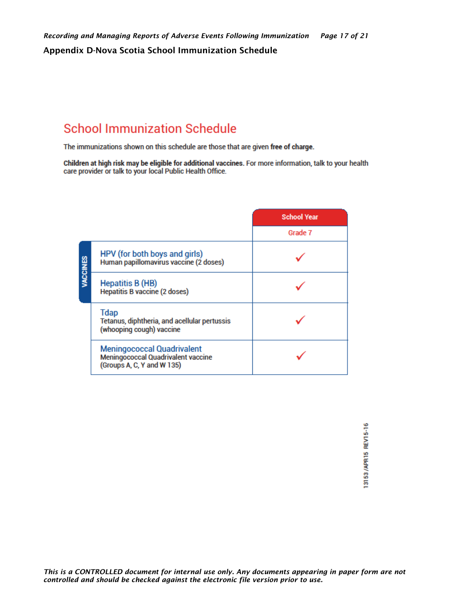# <span id="page-16-0"></span>**School Immunization Schedule**

The immunizations shown on this schedule are those that are given free of charge.

Children at high risk may be eligible for additional vaccines. For more information, talk to your health care provider or talk to your local Public Health Office.

|          |                                                                                                              | <b>School Year</b> |
|----------|--------------------------------------------------------------------------------------------------------------|--------------------|
|          |                                                                                                              | Grade 7            |
| VACCINES | HPV (for both boys and girls)<br>Human papillomavirus vaccine (2 doses)                                      |                    |
|          | <b>Hepatitis B (HB)</b><br>Hepatitis B vaccine (2 doses)                                                     |                    |
|          | <b>Tdap</b><br>Tetanus, diphtheria, and acellular pertussis<br>(whooping cough) vaccine                      |                    |
|          | <b>Meningococcal Quadrivalent</b><br><b>Meningococcal Quadrivalent vaccine</b><br>(Groups A, C, Y and W 135) |                    |

13153/APR15 REV15-16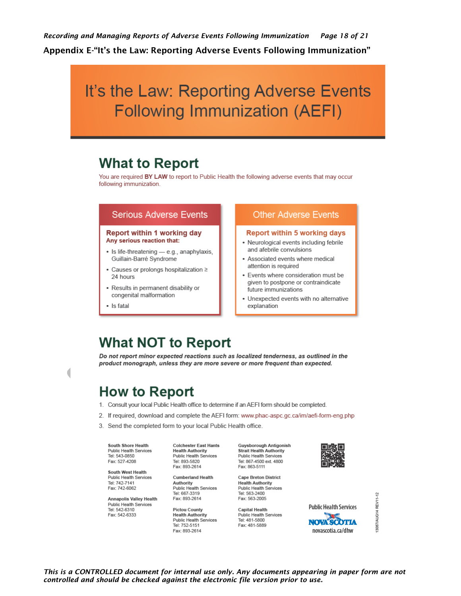<span id="page-17-0"></span>*Recording and Managing Reports of Adverse Events Following Immunization Page 18 of 21* Appendix E-"It's the Law: Reporting Adverse Events Following Immunization"

# It's the Law: Reporting Adverse Events **Following Immunization (AEFI)**

# **What to Report**

You are required BY LAW to report to Public Health the following adverse events that may occur following immunization.

#### **Serious Adverse Events**

#### **Report within 1 working day** Any serious reaction that:

- · Is life-threatening e.g., anaphylaxis, Guillain-Barré Svndrome
- Causes or prolongs hospitalization ≥ 24 hours
- Results in permanent disability or congenital malformation
- · Is fatal

#### **Other Adverse Events**

#### **Report within 5 working days**

- Neurological events including febrile and afebrile convulsions
- Associated events where medical attention is required
- Events where consideration must be given to postpone or contraindicate future immunizations
- Unexpected events with no alternative explanation

# **What NOT to Report**

Do not report minor expected reactions such as localized tenderness, as outlined in the product monograph, unless they are more severe or more frequent than expected.

# **How to Report**

- 1. Consult your local Public Health office to determine if an AEFI form should be completed.
- 2. If required, download and complete the AEFI form: www.phac-aspc.gc.ca/im/aefi-form-eng.php
- 3. Send the completed form to your local Public Health office.

South Shore Health Public Health Services<br>Tel: 543-0850 Fax: 527-4208

South West Health Public Health Services Tel: 742-7141 Fax: 742-6062

**Annapolis Valley Health** Public Health Services Tel: 542-6310 Fax: 542-6333

**Colchester East Hants Health Authority** Public Health Services Tel: 893-5820 Fax: 893-2614

**Cumberland Health** Authority Public Health Services Tel: 667-3319 Fax: 893-2614

**Pictou County Health Authority** Public Health Services Tel: 752-5151 Fax: 893-2614

Guysborough Antigonish Strait Health Authority Public Health Services Tel: 867-4500 ext. 4800 Fax: 863-5111

Cape Breton District **Health Authority** Public Health Services Tel: 563-2400 Fax: 563-2005

**Capital Health** Public Health Services Tel: 481-5800 Fax: 481-5889



**Public Health Services** 

**NOVA SCOTTA** 

novascotia.ca/dhw

3087/AUG14 REV11-12

*This is a CONTROLLED document for internal use only. Any documents appearing in paper form are not controlled and should be checked against the electronic file version prior to use.*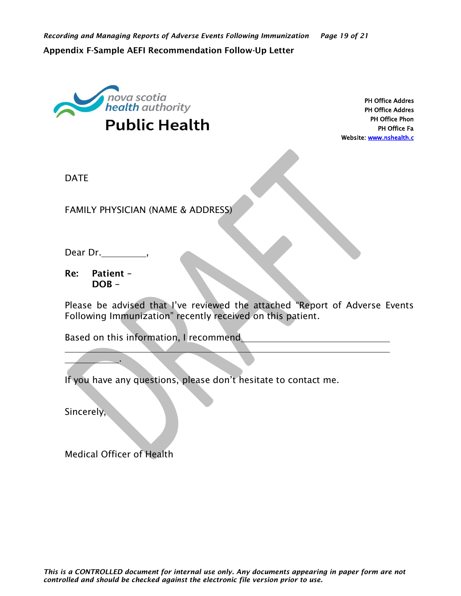<span id="page-18-0"></span>

PH Office Addres PH Office Addres PH Office Phon PH Office Fa Website: www.nshealth.c

DATE

FAMILY PHYSICIAN (NAME & ADDRESS)

Dear Dr. ,

Re: Patient –  $DOB -$ 

Please be advised that I've reviewed the attached "Report of Adverse Events Following Immunization" recently received on this patient.

Based on this information, I recommend

If you have any questions, please don't hesitate to contact me.

Sincerely,

Medical Officer of Health

.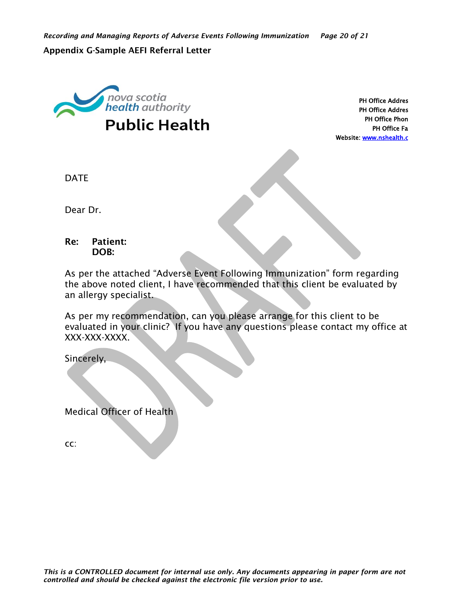#### <span id="page-19-0"></span>Appendix G-Sample AEFI Referral Letter



PH Office Addres PH Office Addres PH Office Phon PH Office Fa Website: www.nshealth.c

DATE

Dear Dr.

### Re: Patient: DOB:

As per the attached "Adverse Event Following Immunization" form regarding the above noted client, I have recommended that this client be evaluated by an allergy specialist.

As per my recommendation, can you please arrange for this client to be evaluated in your clinic? If you have any questions please contact my office at XXX-XXX-XXXX.

Sincerely,

Medical Officer of Health

cc: